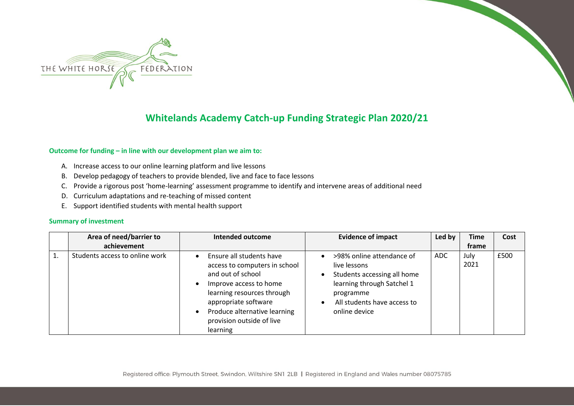

## **Whitelands Academy Catch-up Funding Strategic Plan 2020/21**

## **Outcome for funding – in line with our development plan we aim to:**

- A. Increase access to our online learning platform and live lessons
- B. Develop pedagogy of teachers to provide blended, live and face to face lessons
- C. Provide a rigorous post 'home-learning' assessment programme to identify and intervene areas of additional need
- D. Curriculum adaptations and re-teaching of missed content
- E. Support identified students with mental health support

## **Summary of investment**

| Area of need/barrier to        | <b>Intended outcome</b>                                                                                                                                                                                                                              | <b>Evidence of impact</b>                                                                                                                                           | Led by | <b>Time</b>  | Cost |
|--------------------------------|------------------------------------------------------------------------------------------------------------------------------------------------------------------------------------------------------------------------------------------------------|---------------------------------------------------------------------------------------------------------------------------------------------------------------------|--------|--------------|------|
| achievement                    |                                                                                                                                                                                                                                                      |                                                                                                                                                                     |        | frame        |      |
| Students access to online work | Ensure all students have<br>$\bullet$<br>access to computers in school<br>and out of school<br>Improve access to home<br>learning resources through<br>appropriate software<br>Produce alternative learning<br>provision outside of live<br>learning | >98% online attendance of<br>live lessons<br>Students accessing all home<br>learning through Satchel 1<br>programme<br>All students have access to<br>online device | ADC    | July<br>2021 | £500 |